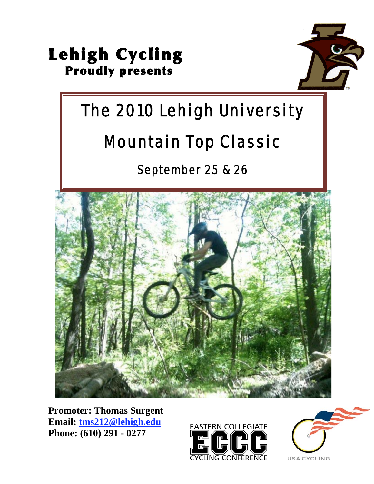



# The 2010 Lehigh University

# Mountain Top Classic

September 25 & 26



**Promoter: Thomas Surgent Email: tms212@lehigh.edu Phone: (610) 291 - 0277**



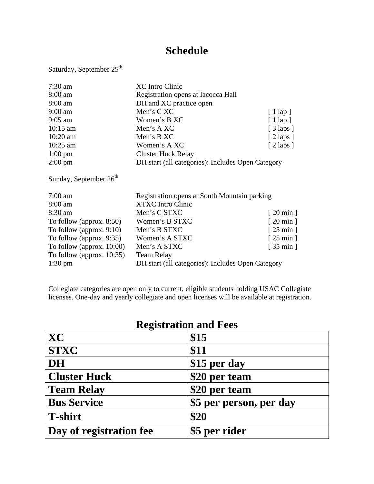## **Schedule**

Saturday, September 25<sup>th</sup>

| $7:30$ am                    | <b>XC</b> Intro Clinic                            |                                 |
|------------------------------|---------------------------------------------------|---------------------------------|
| 8:00 am                      | Registration opens at Iacocca Hall                |                                 |
| $8:00$ am                    | DH and XC practice open                           |                                 |
| $9:00$ am                    | Men's C XC                                        | $[1 \text{ lap } ]$             |
| $9:05$ am                    | Women's B XC                                      | $[1 \text{ lap } ]$             |
| $10:15$ am                   | Men's A XC                                        | $[3 \text{ laps}]$              |
| $10:20$ am                   | Men's B XC                                        | $[2 \text{ laps}]$              |
| $10:25$ am                   | Women's A XC                                      | $[2 \text{ laps}]$              |
| $1:00 \text{ pm}$            | <b>Cluster Huck Relay</b>                         |                                 |
| $2:00 \text{ pm}$            | DH start (all categories): Includes Open Category |                                 |
| Sunday, September $26th$     |                                                   |                                 |
| $7:00$ am                    | Registration opens at South Mountain parking      |                                 |
| 8:00 am                      | <b>XTXC</b> Intro Clinic                          |                                 |
| 8:30 am                      | Men's C STXC                                      | $[20 \text{ min}]$              |
| To follow (approx. $8:50$ )  | Women's B STXC                                    | $\lceil 20 \text{ min } \rceil$ |
| To follow (approx. $9:10$ )  | Men's B STXC                                      | $[25 \text{ min}]$              |
| To follow (approx. 9:35)     | Women's A STXC                                    | $\lceil 25 \text{ min } \rceil$ |
| To follow (approx. $10:00$ ) | Men's A STXC                                      | $\lceil 35 \text{ min } \rceil$ |
| To follow (approx. $10:35$ ) | <b>Team Relay</b>                                 |                                 |
| $1:30 \text{ pm}$            | DH start (all categories): Includes Open Category |                                 |
|                              |                                                   |                                 |

Collegiate categories are open only to current, eligible students holding USAC Collegiate licenses. One-day and yearly collegiate and open licenses will be available at registration.

| <b>Registration and Fees</b> |                         |  |
|------------------------------|-------------------------|--|
| <b>XC</b>                    | \$15                    |  |
| <b>STXC</b>                  | \$11                    |  |
| <b>DH</b>                    | \$15 per day            |  |
| <b>Cluster Huck</b>          | \$20 per team           |  |
| <b>Team Relay</b>            | \$20 per team           |  |
| <b>Bus Service</b>           | \$5 per person, per day |  |
| <b>T-shirt</b>               | \$20                    |  |
| Day of registration fee      | \$5 per rider           |  |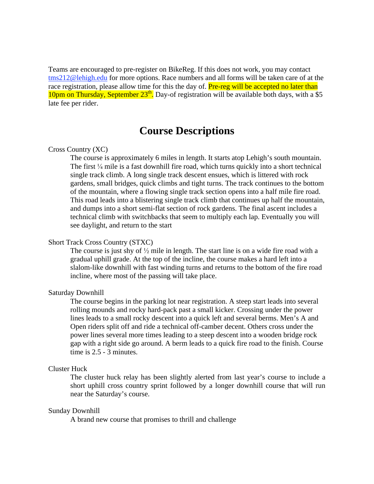Teams are encouraged to pre-register on BikeReg. If this does not work, you may contact tms212@lehigh.edu for more options. Race numbers and all forms will be taken care of at the race registration, please allow time for this the day of. **Pre-reg will be accepted no later than** 10pm on Thursday, September  $23<sup>th</sup>$ . Day-of registration will be available both days, with a \$5 late fee per rider.

### **Course Descriptions**

#### Cross Country (XC)

The course is approximately 6 miles in length. It starts atop Lehigh's south mountain. The first  $\frac{1}{4}$  mile is a fast downhill fire road, which turns quickly into a short technical single track climb. A long single track descent ensues, which is littered with rock gardens, small bridges, quick climbs and tight turns. The track continues to the bottom of the mountain, where a flowing single track section opens into a half mile fire road. This road leads into a blistering single track climb that continues up half the mountain, and dumps into a short semi-flat section of rock gardens. The final ascent includes a technical climb with switchbacks that seem to multiply each lap. Eventually you will see daylight, and return to the start

#### Short Track Cross Country (STXC)

The course is just shy of  $\frac{1}{2}$  mile in length. The start line is on a wide fire road with a gradual uphill grade. At the top of the incline, the course makes a hard left into a slalom-like downhill with fast winding turns and returns to the bottom of the fire road incline, where most of the passing will take place.

#### Saturday Downhill

The course begins in the parking lot near registration. A steep start leads into several rolling mounds and rocky hard-pack past a small kicker. Crossing under the power lines leads to a small rocky descent into a quick left and several berms. Men's A and Open riders split off and ride a technical off-camber decent. Others cross under the power lines several more times leading to a steep descent into a wooden bridge rock gap with a right side go around. A berm leads to a quick fire road to the finish. Course time is 2.5 - 3 minutes.

#### Cluster Huck

The cluster huck relay has been slightly alerted from last year's course to include a short uphill cross country sprint followed by a longer downhill course that will run near the Saturday's course.

#### Sunday Downhill

A brand new course that promises to thrill and challenge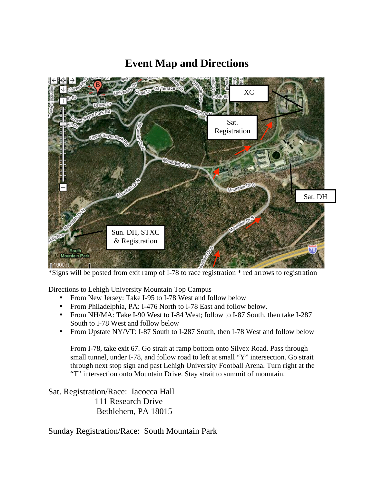# XC Sat. Registration Sat. DHSun. DH, STXC & Registration intain Park  $000 \text{ ft}$

### **Event Map and Directions**

\*Signs will be posted from exit ramp of I-78 to race registration \* red arrows to registration

Directions to Lehigh University Mountain Top Campus

- From New Jersey: Take I-95 to I-78 West and follow below
- From Philadelphia, PA: I-476 North to I-78 East and follow below.
- From NH/MA: Take I-90 West to I-84 West; follow to I-87 South, then take I-287 South to I-78 West and follow below
- From Upstate NY/VT: I-87 South to I-287 South, then I-78 West and follow below

From I-78, take exit 67. Go strait at ramp bottom onto Silvex Road. Pass through small tunnel, under I-78, and follow road to left at small "Y" intersection. Go strait through next stop sign and past Lehigh University Football Arena. Turn right at the "T" intersection onto Mountain Drive. Stay strait to summit of mountain.

Sat. Registration/Race: Iacocca Hall 111 Research Drive Bethlehem, PA 18015

Sunday Registration/Race: South Mountain Park